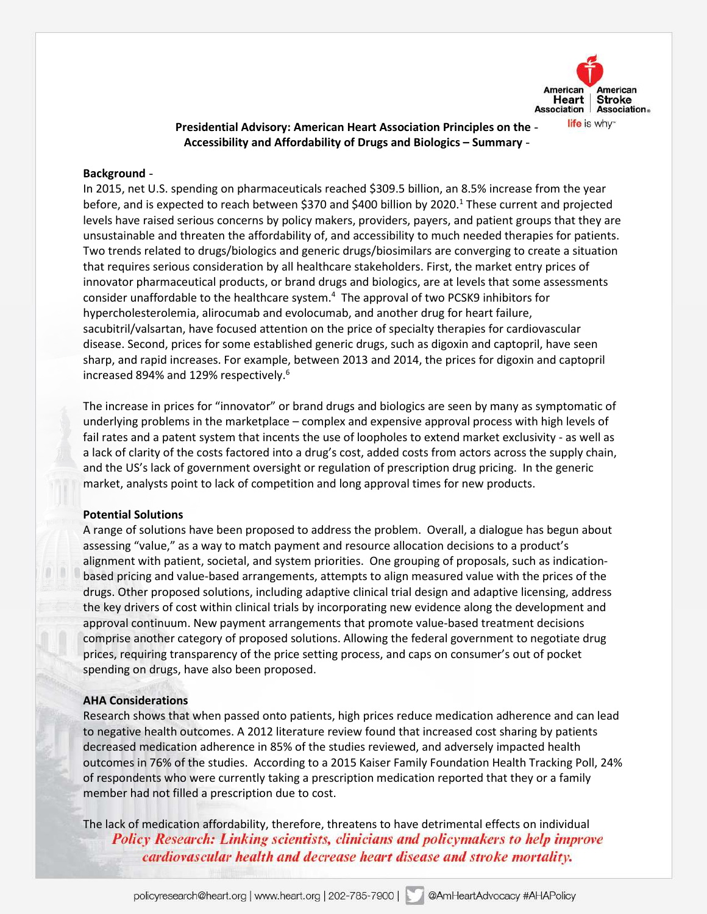

# **Presidential Advisory: American Heart Association Principles on the Accessibility and Affordability of Drugs and Biologics – Summary**

## **Background**

 In 2015, net U.S. spending on pharmaceuticals reached \$309.5 billion, an 8.5% increase from the year before, and is expected to reach between \$370 and \$400 billion by 2020.<sup>1</sup> These current and projected levels have raised serious concerns by policy makers, providers, payers, and patient groups that they are unsustainable and threaten the affordability of, and accessibility to much needed therapies for patients. Two trends related to drugs/biologics and generic drugs/biosimilars are converging to create a situation that requires serious consideration by all healthcare stakeholders. First, the market entry prices of innovator pharmaceutical products, or brand drugs and biologics, are at levels that some assessments consider unaffordable to the healthcare system.<sup>4</sup> The approval of two PCSK9 inhibitors for hypercholesterolemia, alirocumab and evolocumab, and another drug for heart failure, sacubitril/valsartan, have focused attention on the price of specialty therapies for cardiovascular disease. Second, prices for some established generic drugs, such as digoxin and captopril, have seen sharp, and rapid increases. For example, between 2013 and 2014, the prices for digoxin and captopril increased 894% and 129% respectively.<sup>6</sup>

 The increase in prices for "innovator" or brand drugs and biologics are seen by many as symptomatic of underlying problems in the marketplace – complex and expensive approval process with high levels of fail rates and a patent system that incents the use of loopholes to extend market exclusivity - as well as a lack of clarity of the costs factored into a drug's cost, added costs from actors across the supply chain, and the US's lack of government oversight or regulation of prescription drug pricing. In the generic market, analysts point to lack of competition and long approval times for new products.

### **Potential Solutions**

 A range of solutions have been proposed to address the problem. Overall, a dialogue has begun about assessing "value," as a way to match payment and resource allocation decisions to a product's alignment with patient, societal, and system priorities. One grouping of proposals, such as indication- based pricing and value-based arrangements, attempts to align measured value with the prices of the drugs. Other proposed solutions, including adaptive clinical trial design and adaptive licensing, address the key drivers of cost within clinical trials by incorporating new evidence along the development and approval continuum. New payment arrangements that promote value-based treatment decisions comprise another category of proposed solutions. Allowing the federal government to negotiate drug prices, requiring transparency of the price setting process, and caps on consumer's out of pocket spending on drugs, have also been proposed.

#### **AHA Considerations**

 Research shows that when passed onto patients, high prices reduce medication adherence and can lead to negative health outcomes. A 2012 literature review found that increased cost sharing by patients decreased medication adherence in 85% of the studies reviewed, and adversely impacted health outcomes in 76% of the studies. According to a 2015 Kaiser Family Foundation Health Tracking Poll, 24% of respondents who were currently taking a prescription medication reported that they or a family member had not filled a prescription due to cost.

 The lack of medication affordability, therefore, threatens to have detrimental effects on individual **Policy Research: Linking scientists, clinicians and policymakers to help improve** cardiovascular health and decrease heart disease and stroke mortality.